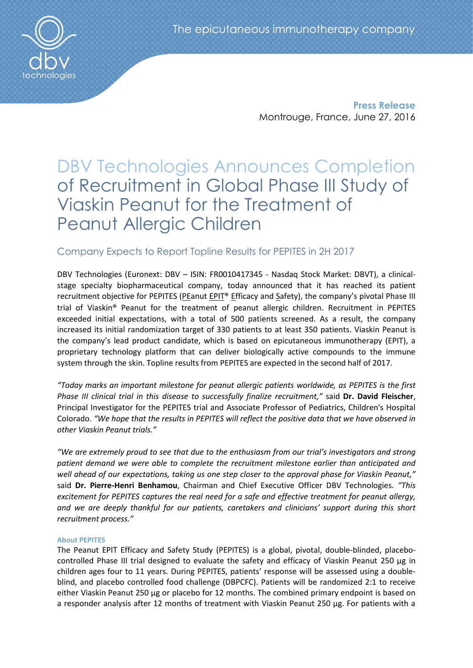**Press Release** Montrouge, France, June 27, 2016

# DBV Technologies Announces Completion of Recruitment in Global Phase III Study of Viaskin Peanut for the Treatment of Peanut Allergic Children

# Company Expects to Report Topline Results for PEPITES in 2H 2017

DBV Technologies (Euronext: DBV – ISIN: FR0010417345 - Nasdaq Stock Market: DBVT), a clinicalstage specialty biopharmaceutical company, today announced that it has reached its patient recruitment objective for PEPITES (PEanut EPIT® Efficacy and Safety), the company's pivotal Phase III trial of Viaskin® Peanut for the treatment of peanut allergic children. Recruitment in PEPITES exceeded initial expectations, with a total of 500 patients screened. As a result, the company increased its initial randomization target of 330 patients to at least 350 patients. Viaskin Peanut is the company's lead product candidate, which is based on epicutaneous immunotherapy (EPIT), a proprietary technology platform that can deliver biologically active compounds to the immune system through the skin. Topline results from PEPITES are expected in the second half of 2017.

*"Today marks an important milestone for peanut allergic patients worldwide, as PEPITES is the first Phase III clinical trial in this disease to successfully finalize recruitment,"* said **Dr. David Fleischer**, Principal Investigator for the PEPITES trial and Associate Professor of Pediatrics, Children's Hospital Colorado. *"We hope that the results in PEPITES will reflect the positive data that we have observed in other Viaskin Peanut trials."*

*"We are extremely proud to see that due to the enthusiasm from our trial's investigators and strong patient demand we were able to complete the recruitment milestone earlier than anticipated and well ahead of our expectations, taking us one step closer to the approval phase for Viaskin Peanut,"* said **Dr. Pierre-Henri Benhamou**, Chairman and Chief Executive Officer DBV Technologies. *"This excitement for PEPITES captures the real need for a safe and effective treatment for peanut allergy,*  and we are deeply thankful for our patients, caretakers and clinicians' support during this short *recruitment process."* 

## **About PEPITES**

The Peanut EPIT Efficacy and Safety Study (PEPITES) is a global, pivotal, double-blinded, placebocontrolled Phase III trial designed to evaluate the safety and efficacy of Viaskin Peanut 250 μg in children ages four to 11 years. During PEPITES, patients' response will be assessed using a doubleblind, and placebo controlled food challenge (DBPCFC). Patients will be randomized 2:1 to receive either Viaskin Peanut 250 μg or placebo for 12 months. The combined primary endpoint is based on a responder analysis after 12 months of treatment with Viaskin Peanut 250 µg. For patients with a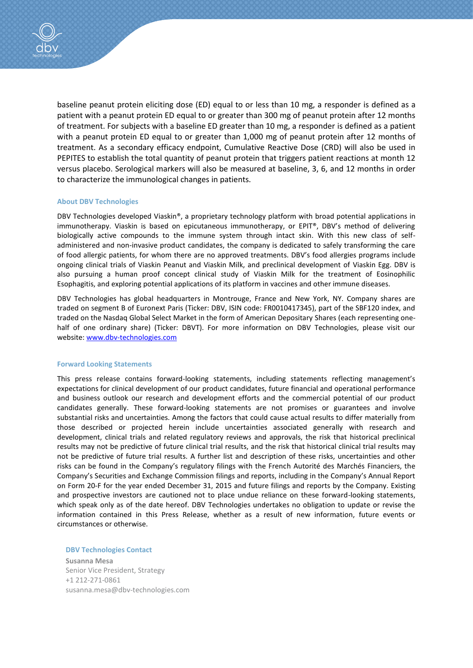

baseline peanut protein eliciting dose (ED) equal to or less than 10 mg, a responder is defined as a patient with a peanut protein ED equal to or greater than 300 mg of peanut protein after 12 months of treatment. For subjects with a baseline ED greater than 10 mg, a responder is defined as a patient with a peanut protein ED equal to or greater than 1,000 mg of peanut protein after 12 months of treatment. As a secondary efficacy endpoint, Cumulative Reactive Dose (CRD) will also be used in PEPITES to establish the total quantity of peanut protein that triggers patient reactions at month 12 versus placebo. Serological markers will also be measured at baseline, 3, 6, and 12 months in order to characterize the immunological changes in patients.

#### **About DBV Technologies**

DBV Technologies developed Viaskin®, a proprietary technology platform with broad potential applications in immunotherapy. Viaskin is based on epicutaneous immunotherapy, or EPIT®, DBV's method of delivering biologically active compounds to the immune system through intact skin. With this new class of selfadministered and non-invasive product candidates, the company is dedicated to safely transforming the care of food allergic patients, for whom there are no approved treatments. DBV's food allergies programs include ongoing clinical trials of Viaskin Peanut and Viaskin Milk, and preclinical development of Viaskin Egg. DBV is also pursuing a human proof concept clinical study of Viaskin Milk for the treatment of Eosinophilic Esophagitis, and exploring potential applications of its platform in vaccines and other immune diseases.

DBV Technologies has global headquarters in Montrouge, France and New York, NY. Company shares are traded on segment B of Euronext Paris (Ticker: DBV, ISIN code: FR0010417345), part of the SBF120 index, and traded on the Nasdaq Global Select Market in the form of American Depositary Shares (each representing onehalf of one ordinary share) (Ticker: DBVT). For more information on DBV Technologies, please visit our website: [www.dbv-technologies.com](http://www.dbv-technologies.com/)

#### **Forward Looking Statements**

This press release contains forward-looking statements, including statements reflecting management's expectations for clinical development of our product candidates, future financial and operational performance and business outlook our research and development efforts and the commercial potential of our product candidates generally. These forward-looking statements are not promises or guarantees and involve substantial risks and uncertainties. Among the factors that could cause actual results to differ materially from those described or projected herein include uncertainties associated generally with research and development, clinical trials and related regulatory reviews and approvals, the risk that historical preclinical results may not be predictive of future clinical trial results, and the risk that historical clinical trial results may not be predictive of future trial results. A further list and description of these risks, uncertainties and other risks can be found in the Company's regulatory filings with the French Autorité des Marchés Financiers, the Company's Securities and Exchange Commission filings and reports, including in the Company's Annual Report on Form 20-F for the year ended December 31, 2015 and future filings and reports by the Company. Existing and prospective investors are cautioned not to place undue reliance on these forward-looking statements, which speak only as of the date hereof. DBV Technologies undertakes no obligation to update or revise the information contained in this Press Release, whether as a result of new information, future events or circumstances or otherwise.

**DBV Technologies Contact**

**Susanna Mesa** Senior Vice President, Strategy +1 212-271-0861 [susanna.mesa@dbv-technologies.com](mailto:susanna.mesa@dbv-technologies.com)